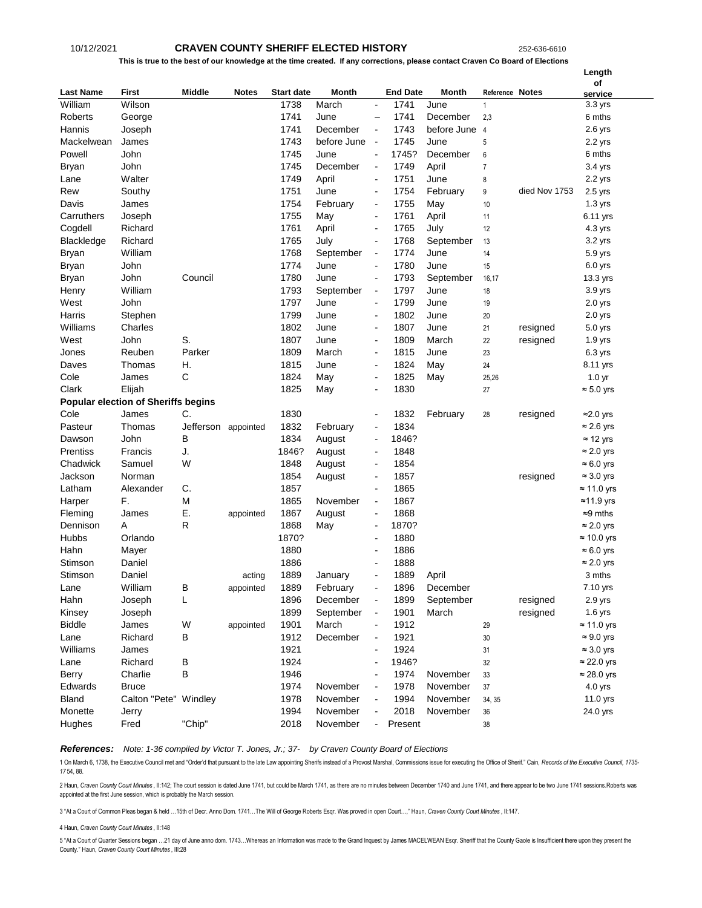# 10/12/2021 **CRAVEN COUNTY SHERIFF ELECTED HISTORY** 252-636-6610

### **This is true to the best of our knowledge at the time created. If any corrections, please contact Craven Co Board of Elections**

|                  |                                            |                     |              |                   |              |                          |                 |             |                 |               | Length             |
|------------------|--------------------------------------------|---------------------|--------------|-------------------|--------------|--------------------------|-----------------|-------------|-----------------|---------------|--------------------|
|                  |                                            |                     |              |                   |              |                          |                 |             |                 |               | of                 |
| <b>Last Name</b> | <b>First</b>                               | Middle              | <b>Notes</b> | <b>Start date</b> | <b>Month</b> |                          | <b>End Date</b> | Month       | Reference Notes |               | service            |
| William          | Wilson                                     |                     |              | 1738              | March        | $\blacksquare$           | 1741            | June        | $\mathbf{1}$    |               | 3.3 yrs            |
| Roberts          | George                                     |                     |              | 1741              | June         | $\overline{\phantom{0}}$ | 1741            | December    | 2,3             |               | 6 mths             |
| Hannis           | Joseph                                     |                     |              | 1741              | December     | $\blacksquare$           | 1743            | before June | $\overline{4}$  |               | $2.6$ yrs          |
| Mackelwean       | James                                      |                     |              | 1743              | before June  | $\blacksquare$           | 1745            | June        | $\,$ 5 $\,$     |               | 2.2 yrs            |
| Powell           | John                                       |                     |              | 1745              | June         | $\blacksquare$           | 1745?           | December    | 6               |               | 6 mths             |
| Bryan            | John                                       |                     |              | 1745              | December     | $\blacksquare$           | 1749            | April       | $\overline{7}$  |               | 3.4 yrs            |
| Lane             | Walter                                     |                     |              | 1749              | April        | $\blacksquare$           | 1751            | June        | 8               | died Nov 1753 | 2.2 yrs            |
| Rew              | Southy                                     |                     |              | 1751              | June         | $\overline{a}$           | 1754            | February    | 9               |               | $2.5$ yrs          |
| Davis            | James                                      |                     |              | 1754              | February     | $\blacksquare$           | 1755            | May         | 10              |               | $1.3$ yrs          |
| Carruthers       | Joseph                                     |                     |              | 1755              | May          | $\blacksquare$           | 1761            | April       | 11              |               | 6.11 yrs           |
| Cogdell          | Richard                                    |                     |              | 1761              | April        | $\blacksquare$           | 1765            | July        | 12              |               | 4.3 yrs            |
| Blackledge       | Richard                                    |                     |              | 1765              | July         | $\blacksquare$           | 1768            | September   | 13              |               | 3.2 yrs            |
| Bryan            | William                                    |                     |              | 1768              | September    | $\blacksquare$           | 1774            | June        | 14              |               | 5.9 yrs            |
| Bryan            | John                                       |                     |              | 1774              | June         | $\blacksquare$           | 1780            | June        | 15              |               | $6.0$ yrs          |
| Bryan            | John                                       | Council             |              | 1780              | June         | $\blacksquare$           | 1793            | September   | 16,17           |               | 13.3 yrs           |
| Henry            | William                                    |                     |              | 1793              | September    | $\blacksquare$           | 1797            | June        | 18              |               | 3.9 yrs            |
| West             | John                                       |                     |              | 1797              | June         | ä,                       | 1799            | June        | 19              |               | $2.0$ yrs          |
| Harris           | Stephen                                    |                     |              | 1799              | June         | $\blacksquare$           | 1802            | June        | 20              |               | $2.0$ yrs          |
| Williams         | Charles                                    |                     |              | 1802              | June         | $\blacksquare$           | 1807            | June        | 21              | resigned      | 5.0 yrs            |
| West             | John                                       | S.                  |              | 1807              | June         | $\blacksquare$           | 1809            | March       | 22              | resigned      | $1.9$ yrs          |
| Jones            | Reuben                                     | Parker              |              | 1809              | March        | $\blacksquare$           | 1815            | June        | 23              |               | 6.3 yrs            |
| Daves            | Thomas                                     | Н.                  |              | 1815              | June         | $\overline{a}$           | 1824            | May         | 24              |               | 8.11 yrs           |
| Cole             | James                                      | C                   |              | 1824              | May          | $\overline{a}$           | 1825            | May         | 25,26           |               | 1.0 <sub>yr</sub>  |
| Clark            | Elijah                                     |                     |              | 1825              | May          | $\overline{a}$           | 1830            |             | 27              |               | $\approx 5.0$ yrs  |
|                  | <b>Popular election of Sheriffs begins</b> |                     |              |                   |              |                          |                 |             |                 |               |                    |
| Cole             | James                                      | C.                  |              | 1830              |              | $\blacksquare$           | 1832            | February    | 28              | resigned      | ≈2.0 yrs           |
| Pasteur          | Thomas                                     | Jefferson appointed |              | 1832              | February     | $\blacksquare$           | 1834            |             |                 |               | $\approx$ 2.6 yrs  |
| Dawson           | John                                       | В                   |              | 1834              | August       | $\blacksquare$           | 1846?           |             |                 |               | $\approx$ 12 yrs   |
| Prentiss         | Francis                                    | J.                  |              | 1846?             | August       | $\blacksquare$           | 1848            |             |                 |               | $\approx$ 2.0 yrs  |
| Chadwick         | Samuel                                     | W                   |              | 1848              | August       | $\blacksquare$           | 1854            |             |                 |               | $\approx 6.0$ yrs  |
| Jackson          | Norman                                     |                     |              | 1854              | August       | $\blacksquare$           | 1857            |             |                 | resigned      | $\approx$ 3.0 yrs  |
| Latham           | Alexander                                  | C.                  |              | 1857              |              | $\blacksquare$           | 1865            |             |                 |               | $\approx$ 11.0 yrs |
| Harper           | F.                                         | M                   |              | 1865              | November     | $\blacksquare$           | 1867            |             |                 |               | $≈11.9$ yrs        |
| Fleming          | James                                      | Е.                  | appointed    | 1867              | August       | ä,                       | 1868            |             |                 |               | $\approx 9$ mths   |
| Dennison         | Α                                          | R                   |              | 1868              | May          | $\overline{a}$           | 1870?           |             |                 |               | $\approx$ 2.0 yrs  |
| Hubbs            | Orlando                                    |                     |              | 1870?             |              | ä,                       | 1880            |             |                 |               | $\approx$ 10.0 yrs |
| Hahn             | Mayer                                      |                     |              | 1880              |              | $\blacksquare$           | 1886            |             |                 |               | $\approx 6.0$ yrs  |
| Stimson          | Daniel                                     |                     |              | 1886              |              | $\blacksquare$           | 1888            |             |                 |               | $\approx$ 2.0 yrs  |
| Stimson          | Daniel                                     |                     | acting       | 1889              | January      | $\blacksquare$           | 1889            | April       |                 |               | 3 mths             |
| Lane             | William                                    | В                   | appointed    | 1889              | February     |                          | 1896            | December    |                 |               | 7.10 yrs           |
| Hahn             | Joseph                                     | L                   |              | 1896              | December     | $\blacksquare$           | 1899            | September   |                 | resigned      | 2.9 yrs            |
| Kinsey           | Joseph                                     |                     |              | 1899              | September    | $\blacksquare$           | 1901            | March       |                 | resigned      | $1.6$ yrs          |
| <b>Biddle</b>    | James                                      | W                   | appointed    | 1901              | March        |                          | 1912            |             | 29              |               | $\approx$ 11.0 yrs |
| Lane             | Richard                                    | В                   |              | 1912              | December     | $\blacksquare$           | 1921            |             | 30              |               | $\approx 9.0$ yrs  |
| Williams         | James                                      |                     |              | 1921              |              |                          | 1924            |             | 31              |               | $\approx$ 3.0 yrs  |
| Lane             | Richard                                    | B                   |              | 1924              |              | $\blacksquare$           | 1946?           |             | 32              |               | $\approx$ 22.0 yrs |
| Berry            | Charlie                                    | В                   |              | 1946              |              |                          | 1974            | November    | 33              |               | $\approx$ 28.0 yrs |
| Edwards          | <b>Bruce</b>                               |                     |              | 1974              | November     |                          | 1978            | November    | 37              |               | 4.0 yrs            |
| <b>Bland</b>     | Calton "Pete" Windley                      |                     |              | 1978              | November     |                          | 1994            | November    | 34, 35          |               | 11.0 yrs           |
| Monette          | Jerry                                      |                     |              | 1994              | November     |                          | 2018            | November    | 36              |               | 24.0 yrs           |
| Hughes           | Fred                                       | "Chip"              |              | 2018              | November     | $\blacksquare$           | Present         |             | 38              |               |                    |

*References: Note: 1-36 compiled by Victor T. Jones, Jr.; 37- by Craven County Board of Elections*

1 On March 6, 1738, the Executive Council met and "Order'd that pursuant to the late Law appointing Sherifs instead of a Provost Marshal, Commissions issue for executing the Office of Sherif." Cain, Records of the Executiv *17* 54, 88.

2 Haun, Craven County Court Minutes, II:142; The court session is dated June 1741, but could be March 1741, as there are no minutes between December 1740 and June 1741, and there appear to be two June 1741 sessions. Robert appointed at the first June session, which is probably the March session.

3 "At a Court of Common Pleas began & held …15th of Decr. Anno Dom. 1741…The Will of George Roberts Esqr. Was proved in open Court…," Haun, *Craven County Court Minutes* , II:147.

4 Haun, *Craven County Court Minutes* , II:148

5 "At a Court of Quarter Sessions began …21 day of June anno dom. 1743…Whereas an Information was made to the Grand Inquest by James MACELWEAN Esqr. Sheriff that the County Gaole is Insufficient there upon they present the County." Haun, *Craven County Court Minutes* , III:28